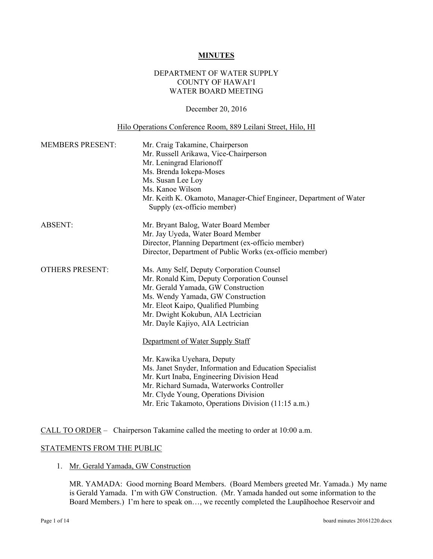#### **MINUTES**

## DEPARTMENT OF WATER SUPPLY COUNTY OF HAWAI'I WATER BOARD MEETING

#### December 20, 2016

#### Hilo Operations Conference Room, 889 Leilani Street, Hilo, HI

| Mr. Craig Takamine, Chairperson<br>Mr. Russell Arikawa, Vice-Chairperson<br>Mr. Leningrad Elarionoff<br>Ms. Brenda Iokepa-Moses<br>Ms. Susan Lee Loy<br>Ms. Kanoe Wilson<br>Mr. Keith K. Okamoto, Manager-Chief Engineer, Department of Water<br>Supply (ex-officio member)                                                                                                                                                                                                                                                                                                                             |
|---------------------------------------------------------------------------------------------------------------------------------------------------------------------------------------------------------------------------------------------------------------------------------------------------------------------------------------------------------------------------------------------------------------------------------------------------------------------------------------------------------------------------------------------------------------------------------------------------------|
| Mr. Bryant Balog, Water Board Member<br>Mr. Jay Uyeda, Water Board Member<br>Director, Planning Department (ex-officio member)<br>Director, Department of Public Works (ex-officio member)                                                                                                                                                                                                                                                                                                                                                                                                              |
| Ms. Amy Self, Deputy Corporation Counsel<br>Mr. Ronald Kim, Deputy Corporation Counsel<br>Mr. Gerald Yamada, GW Construction<br>Ms. Wendy Yamada, GW Construction<br>Mr. Eleot Kaipo, Qualified Plumbing<br>Mr. Dwight Kokubun, AIA Lectrician<br>Mr. Dayle Kajiyo, AIA Lectrician<br>Department of Water Supply Staff<br>Mr. Kawika Uyehara, Deputy<br>Ms. Janet Snyder, Information and Education Specialist<br>Mr. Kurt Inaba, Engineering Division Head<br>Mr. Richard Sumada, Waterworks Controller<br>Mr. Clyde Young, Operations Division<br>Mr. Eric Takamoto, Operations Division (11:15 a.m.) |
|                                                                                                                                                                                                                                                                                                                                                                                                                                                                                                                                                                                                         |

CALL TO ORDER – Chairperson Takamine called the meeting to order at 10:00 a.m.

#### STATEMENTS FROM THE PUBLIC

1. Mr. Gerald Yamada, GW Construction

MR. YAMADA: Good morning Board Members. (Board Members greeted Mr. Yamada.) My name is Gerald Yamada. I'm with GW Construction. (Mr. Yamada handed out some information to the Board Members.) I'm here to speak on…, we recently completed the Laupāhoehoe Reservoir and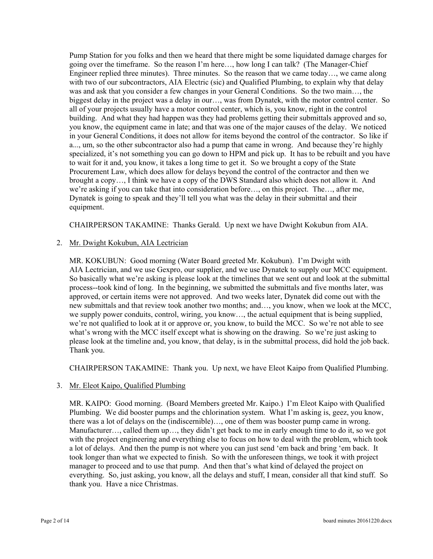Pump Station for you folks and then we heard that there might be some liquidated damage charges for going over the timeframe. So the reason I'm here…, how long I can talk? (The Manager-Chief Engineer replied three minutes). Three minutes. So the reason that we came today…, we came along with two of our subcontractors, AIA Electric (sic) and Qualified Plumbing, to explain why that delay was and ask that you consider a few changes in your General Conditions. So the two main…, the biggest delay in the project was a delay in our…, was from Dynatek, with the motor control center. So all of your projects usually have a motor control center, which is, you know, right in the control building. And what they had happen was they had problems getting their submittals approved and so, you know, the equipment came in late; and that was one of the major causes of the delay. We noticed in your General Conditions, it does not allow for items beyond the control of the contractor. So like if a..., um, so the other subcontractor also had a pump that came in wrong. And because they're highly specialized, it's not something you can go down to HPM and pick up. It has to be rebuilt and you have to wait for it and, you know, it takes a long time to get it. So we brought a copy of the State Procurement Law, which does allow for delays beyond the control of the contractor and then we brought a copy…, I think we have a copy of the DWS Standard also which does not allow it. And we're asking if you can take that into consideration before…, on this project. The…, after me, Dynatek is going to speak and they'll tell you what was the delay in their submittal and their equipment.

CHAIRPERSON TAKAMINE: Thanks Gerald. Up next we have Dwight Kokubun from AIA.

# 2. Mr. Dwight Kokubun, AIA Lectrician

MR. KOKUBUN: Good morning (Water Board greeted Mr. Kokubun). I'm Dwight with AIA Lectrician, and we use Gexpro, our supplier, and we use Dynatek to supply our MCC equipment. So basically what we're asking is please look at the timelines that we sent out and look at the submittal process--took kind of long. In the beginning, we submitted the submittals and five months later, was approved, or certain items were not approved. And two weeks later, Dynatek did come out with the new submittals and that review took another two months; and…, you know, when we look at the MCC, we supply power conduits, control, wiring, you know…, the actual equipment that is being supplied, we're not qualified to look at it or approve or, you know, to build the MCC. So we're not able to see what's wrong with the MCC itself except what is showing on the drawing. So we're just asking to please look at the timeline and, you know, that delay, is in the submittal process, did hold the job back. Thank you.

CHAIRPERSON TAKAMINE: Thank you. Up next, we have Eleot Kaipo from Qualified Plumbing.

# 3. Mr. Eleot Kaipo, Qualified Plumbing

MR. KAIPO: Good morning. (Board Members greeted Mr. Kaipo.) I'm Eleot Kaipo with Qualified Plumbing. We did booster pumps and the chlorination system. What I'm asking is, geez, you know, there was a lot of delays on the (indiscernible)…, one of them was booster pump came in wrong. Manufacturer…, called them up…, they didn't get back to me in early enough time to do it, so we got with the project engineering and everything else to focus on how to deal with the problem, which took a lot of delays. And then the pump is not where you can just send 'em back and bring 'em back. It took longer than what we expected to finish. So with the unforeseen things, we took it with project manager to proceed and to use that pump. And then that's what kind of delayed the project on everything. So, just asking, you know, all the delays and stuff, I mean, consider all that kind stuff. So thank you. Have a nice Christmas.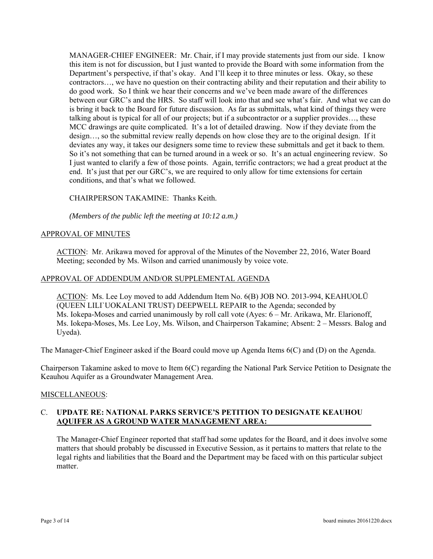MANAGER-CHIEF ENGINEER: Mr. Chair, if I may provide statements just from our side. I know this item is not for discussion, but I just wanted to provide the Board with some information from the Department's perspective, if that's okay. And I'll keep it to three minutes or less. Okay, so these contractors…, we have no question on their contracting ability and their reputation and their ability to do good work. So I think we hear their concerns and we've been made aware of the differences between our GRC's and the HRS. So staff will look into that and see what's fair. And what we can do is bring it back to the Board for future discussion. As far as submittals, what kind of things they were talking about is typical for all of our projects; but if a subcontractor or a supplier provides…, these MCC drawings are quite complicated. It's a lot of detailed drawing. Now if they deviate from the design…, so the submittal review really depends on how close they are to the original design. If it deviates any way, it takes our designers some time to review these submittals and get it back to them. So it's not something that can be turned around in a week or so. It's an actual engineering review. So I just wanted to clarify a few of those points. Again, terrific contractors; we had a great product at the end. It's just that per our GRC's, we are required to only allow for time extensions for certain conditions, and that's what we followed.

CHAIRPERSON TAKAMINE: Thanks Keith.

*(Members of the public left the meeting at 10:12 a.m.)* 

#### **APPROVAL OF MINUTES**

ACTION: Mr. Arikawa moved for approval of the Minutes of the November 22, 2016, Water Board Meeting; seconded by Ms. Wilson and carried unanimously by voice vote.

#### APPROVAL OF ADDENDUM AND/OR SUPPLEMENTAL AGENDA

ACTION: Ms. Lee Loy moved to add Addendum Item No. 6(B) JOB NO. 2013-994, KEAHUOLŪ (QUEEN LILI`UOKALANI TRUST) DEEPWELL REPAIR to the Agenda; seconded by Ms. Iokepa-Moses and carried unanimously by roll call vote (Ayes: 6 – Mr. Arikawa, Mr. Elarionoff, Ms. Iokepa-Moses, Ms. Lee Loy, Ms. Wilson, and Chairperson Takamine; Absent: 2 – Messrs. Balog and Uyeda).

The Manager-Chief Engineer asked if the Board could move up Agenda Items 6(C) and (D) on the Agenda.

Chairperson Takamine asked to move to Item 6(C) regarding the National Park Service Petition to Designate the Keauhou Aquifer as a Groundwater Management Area.

## MISCELLANEOUS:

## C. **UPDATE RE: NATIONAL PARKS SERVICE'S PETITION TO DESIGNATE KEAUHOU AQUIFER AS A GROUND WATER MANAGEMENT AREA:**

The Manager-Chief Engineer reported that staff had some updates for the Board, and it does involve some matters that should probably be discussed in Executive Session, as it pertains to matters that relate to the legal rights and liabilities that the Board and the Department may be faced with on this particular subject matter.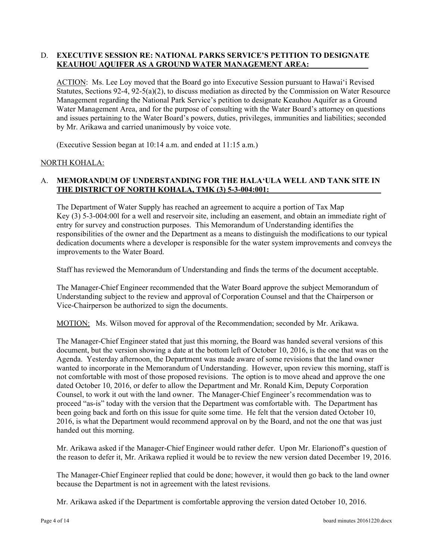# D. **EXECUTIVE SESSION RE: NATIONAL PARKS SERVICE'S PETITION TO DESIGNATE KEAUHOU AQUIFER AS A GROUND WATER MANAGEMENT AREA:**

ACTION: Ms. Lee Loy moved that the Board go into Executive Session pursuant to Hawai'i Revised Statutes, Sections 92-4, 92-5(a)(2), to discuss mediation as directed by the Commission on Water Resource Management regarding the National Park Service's petition to designate Keauhou Aquifer as a Ground Water Management Area, and for the purpose of consulting with the Water Board's attorney on questions and issues pertaining to the Water Board's powers, duties, privileges, immunities and liabilities; seconded by Mr. Arikawa and carried unanimously by voice vote.

(Executive Session began at 10:14 a.m. and ended at 11:15 a.m.)

## NORTH KOHALA:

# A. **MEMORANDUM OF UNDERSTANDING FOR THE HALA'ULA WELL AND TANK SITE IN THE DISTRICT OF NORTH KOHALA, TMK (3) 5-3-004:001:**

The Department of Water Supply has reached an agreement to acquire a portion of Tax Map Key (3) 5-3-004:00l for a well and reservoir site, including an easement, and obtain an immediate right of entry for survey and construction purposes. This Memorandum of Understanding identifies the responsibilities of the owner and the Department as a means to distinguish the modifications to our typical dedication documents where a developer is responsible for the water system improvements and conveys the improvements to the Water Board.

Staff has reviewed the Memorandum of Understanding and finds the terms of the document acceptable.

The Manager-Chief Engineer recommended that the Water Board approve the subject Memorandum of Understanding subject to the review and approval of Corporation Counsel and that the Chairperson or Vice-Chairperson be authorized to sign the documents.

MOTION: Ms. Wilson moved for approval of the Recommendation; seconded by Mr. Arikawa.

The Manager-Chief Engineer stated that just this morning, the Board was handed several versions of this document, but the version showing a date at the bottom left of October 10, 2016, is the one that was on the Agenda. Yesterday afternoon, the Department was made aware of some revisions that the land owner wanted to incorporate in the Memorandum of Understanding. However, upon review this morning, staff is not comfortable with most of those proposed revisions. The option is to move ahead and approve the one dated October 10, 2016, or defer to allow the Department and Mr. Ronald Kim, Deputy Corporation Counsel, to work it out with the land owner. The Manager-Chief Engineer's recommendation was to proceed "as-is" today with the version that the Department was comfortable with. The Department has been going back and forth on this issue for quite some time. He felt that the version dated October 10, 2016, is what the Department would recommend approval on by the Board, and not the one that was just handed out this morning.

Mr. Arikawa asked if the Manager-Chief Engineer would rather defer. Upon Mr. Elarionoff's question of the reason to defer it, Mr. Arikawa replied it would be to review the new version dated December 19, 2016.

The Manager-Chief Engineer replied that could be done; however, it would then go back to the land owner because the Department is not in agreement with the latest revisions.

Mr. Arikawa asked if the Department is comfortable approving the version dated October 10, 2016.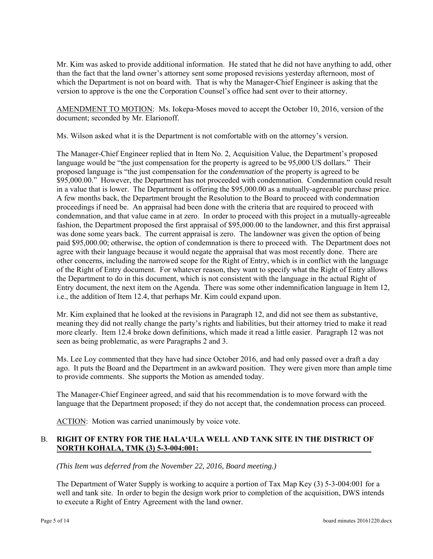Mr. Kim was asked to provide additional information. He stated that he did not have anything to add, other than the fact that the land owner's attorney sent some proposed revisions yesterday afternoon, most of which the Department is not on board with. That is why the Manager-Chief Engineer is asking that the version to approve is the one the Corporation Counsel's office had sent over to their attorney.

AMENDMENT TO MOTION: Ms. Iokepa-Moses moved to accept the October 10, 2016, version of the document; seconded by Mr. Elarionoff.

Ms. Wilson asked what it is the Department is not comfortable with on the attorney's version.

The Manager-Chief Engineer replied that in Item No. 2, Acquisition Value, the Department's proposed language would be "the just compensation for the property is agreed to be 95,000 US dollars." Their proposed language is "the just compensation for the *condemnation* of the property is agreed to be \$95,000.00." However, the Department has not proceeded with condemnation. Condemnation could result in a value that is lower. The Department is offering the \$95,000.00 as a mutually-agreeable purchase price. A few months back, the Department brought the Resolution to the Board to proceed with condemnation proceedings if need be. An appraisal had been done with the criteria that are required to proceed with condemnation, and that value came in at zero. In order to proceed with this project in a mutually-agreeable fashion, the Department proposed the first appraisal of \$95,000.00 to the landowner, and this first appraisal was done some years back. The current appraisal is zero. The landowner was given the option of being paid \$95,000.00; otherwise, the option of condemnation is there to proceed with. The Department does not agree with their language because it would negate the appraisal that was most recently done. There are other concerns, including the narrowed scope for the Right of Entry, which is in conflict with the language of the Right of Entry document. For whatever reason, they want to specify what the Right of Entry allows the Department to do in this document, which is not consistent with the language in the actual Right of Entry document, the next item on the Agenda. There was some other indemnification language in Item 12, i.e., the addition of Item 12.4, that perhaps Mr. Kim could expand upon.

Mr. Kim explained that he looked at the revisions in Paragraph 12, and did not see them as substantive, meaning they did not really change the party's rights and liabilities, but their attorney tried to make it read more clearly. Item 12.4 broke down definitions, which made it read a little easier. Paragraph 12 was not seen as being problematic, as were Paragraphs 2 and 3.

Ms. Lee Loy commented that they have had since October 2016, and had only passed over a draft a day ago. It puts the Board and the Department in an awkward position. They were given more than ample time to provide comments. She supports the Motion as amended today.

The Manager-Chief Engineer agreed, and said that his recommendation is to move forward with the language that the Department proposed; if they do not accept that, the condemnation process can proceed.

ACTION: Motion was carried unanimously by voice vote.

# B. **RIGHT OF ENTRY FOR THE HALA'ULA WELL AND TANK SITE IN THE DISTRICT OF NORTH KOHALA, TMK (3) 5-3-004:001:**

*(This Item was deferred from the November 22, 2016, Board meeting.)* 

The Department of Water Supply is working to acquire a portion of Tax Map Key (3) 5-3-004:001 for a well and tank site. In order to begin the design work prior to completion of the acquisition, DWS intends to execute a Right of Entry Agreement with the land owner.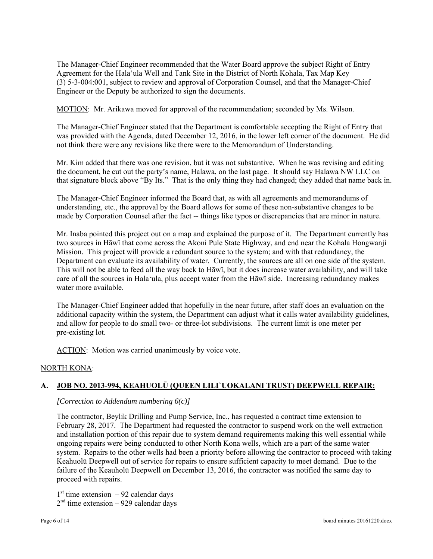The Manager-Chief Engineer recommended that the Water Board approve the subject Right of Entry Agreement for the Hala'ula Well and Tank Site in the District of North Kohala, Tax Map Key (3) 5-3-004:001, subject to review and approval of Corporation Counsel, and that the Manager-Chief Engineer or the Deputy be authorized to sign the documents.

MOTION: Mr. Arikawa moved for approval of the recommendation; seconded by Ms. Wilson.

The Manager-Chief Engineer stated that the Department is comfortable accepting the Right of Entry that was provided with the Agenda, dated December 12, 2016, in the lower left corner of the document. He did not think there were any revisions like there were to the Memorandum of Understanding.

Mr. Kim added that there was one revision, but it was not substantive. When he was revising and editing the document, he cut out the party's name, Halawa, on the last page. It should say Halawa NW LLC on that signature block above "By Its." That is the only thing they had changed; they added that name back in.

The Manager-Chief Engineer informed the Board that, as with all agreements and memorandums of understanding, etc., the approval by the Board allows for some of these non-substantive changes to be made by Corporation Counsel after the fact -- things like typos or discrepancies that are minor in nature.

Mr. Inaba pointed this project out on a map and explained the purpose of it. The Department currently has two sources in Hāwī that come across the Akoni Pule State Highway, and end near the Kohala Hongwanji Mission. This project will provide a redundant source to the system; and with that redundancy, the Department can evaluate its availability of water. Currently, the sources are all on one side of the system. This will not be able to feed all the way back to Hāwī, but it does increase water availability, and will take care of all the sources in Hala'ula, plus accept water from the Hāwī side. Increasing redundancy makes water more available.

The Manager-Chief Engineer added that hopefully in the near future, after staff does an evaluation on the additional capacity within the system, the Department can adjust what it calls water availability guidelines, and allow for people to do small two- or three-lot subdivisions. The current limit is one meter per pre-existing lot.

ACTION: Motion was carried unanimously by voice vote.

## NORTH KONA:

# **A. JOB NO. 2013-994, KEAHUOLŪ (QUEEN LILI`UOKALANI TRUST) DEEPWELL REPAIR:**

## *[Correction to Addendum numbering 6(c)]*

The contractor, Beylik Drilling and Pump Service, Inc., has requested a contract time extension to February 28, 2017. The Department had requested the contractor to suspend work on the well extraction and installation portion of this repair due to system demand requirements making this well essential while ongoing repairs were being conducted to other North Kona wells, which are a part of the same water system. Repairs to the other wells had been a priority before allowing the contractor to proceed with taking Keahuolū Deepwell out of service for repairs to ensure sufficient capacity to meet demand. Due to the failure of the Keauholū Deepwell on December 13, 2016, the contractor was notified the same day to proceed with repairs.

 $1<sup>st</sup>$  time extension – 92 calendar days  $2<sup>nd</sup>$  time extension – 929 calendar days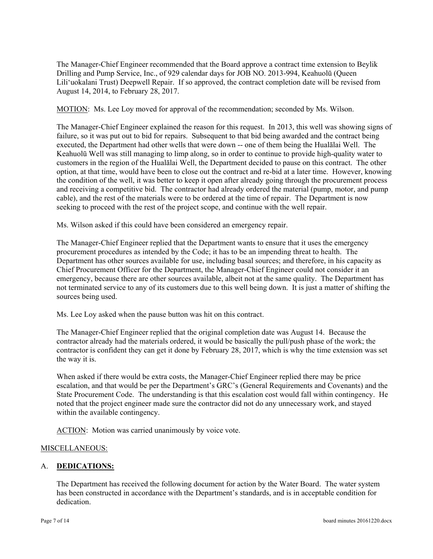The Manager-Chief Engineer recommended that the Board approve a contract time extension to Beylik Drilling and Pump Service, Inc., of 929 calendar days for JOB NO. 2013-994, Keahuolū (Queen Lili'uokalani Trust) Deepwell Repair. If so approved, the contract completion date will be revised from August 14, 2014, to February 28, 2017.

MOTION: Ms. Lee Loy moved for approval of the recommendation; seconded by Ms. Wilson.

The Manager-Chief Engineer explained the reason for this request. In 2013, this well was showing signs of failure, so it was put out to bid for repairs. Subsequent to that bid being awarded and the contract being executed, the Department had other wells that were down -- one of them being the Hualālai Well. The Keahuolū Well was still managing to limp along, so in order to continue to provide high-quality water to customers in the region of the Hualālai Well, the Department decided to pause on this contract. The other option, at that time, would have been to close out the contract and re-bid at a later time. However, knowing the condition of the well, it was better to keep it open after already going through the procurement process and receiving a competitive bid. The contractor had already ordered the material (pump, motor, and pump cable), and the rest of the materials were to be ordered at the time of repair. The Department is now seeking to proceed with the rest of the project scope, and continue with the well repair.

Ms. Wilson asked if this could have been considered an emergency repair.

The Manager-Chief Engineer replied that the Department wants to ensure that it uses the emergency procurement procedures as intended by the Code; it has to be an impending threat to health. The Department has other sources available for use, including basal sources; and therefore, in his capacity as Chief Procurement Officer for the Department, the Manager-Chief Engineer could not consider it an emergency, because there are other sources available, albeit not at the same quality. The Department has not terminated service to any of its customers due to this well being down. It is just a matter of shifting the sources being used.

Ms. Lee Loy asked when the pause button was hit on this contract.

The Manager-Chief Engineer replied that the original completion date was August 14. Because the contractor already had the materials ordered, it would be basically the pull/push phase of the work; the contractor is confident they can get it done by February 28, 2017, which is why the time extension was set the way it is.

When asked if there would be extra costs, the Manager-Chief Engineer replied there may be price escalation, and that would be per the Department's GRC's (General Requirements and Covenants) and the State Procurement Code. The understanding is that this escalation cost would fall within contingency. He noted that the project engineer made sure the contractor did not do any unnecessary work, and stayed within the available contingency.

ACTION: Motion was carried unanimously by voice vote.

## MISCELLANEOUS:

## A. **DEDICATIONS:**

The Department has received the following document for action by the Water Board. The water system has been constructed in accordance with the Department's standards, and is in acceptable condition for dedication.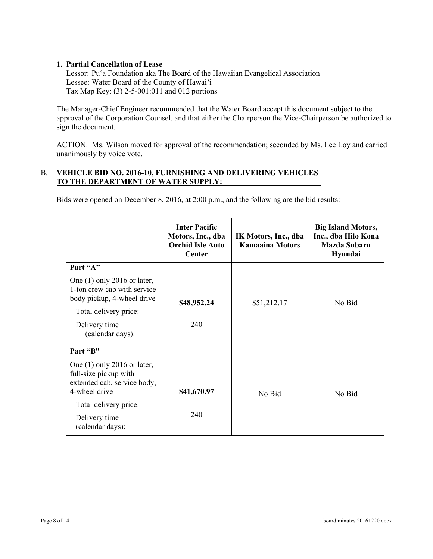## **1. Partial Cancellation of Lease**

Lessor: Pu'a Foundation aka The Board of the Hawaiian Evangelical Association Lessee: Water Board of the County of Hawai'i Tax Map Key: (3) 2-5-001:011 and 012 portions

The Manager-Chief Engineer recommended that the Water Board accept this document subject to the approval of the Corporation Counsel, and that either the Chairperson the Vice-Chairperson be authorized to sign the document.

ACTION: Ms. Wilson moved for approval of the recommendation; seconded by Ms. Lee Loy and carried unanimously by voice vote.

## B. **VEHICLE BID NO. 2016-10, FURNISHING AND DELIVERING VEHICLES TO THE DEPARTMENT OF WATER SUPPLY:**

Bids were opened on December 8, 2016, at 2:00 p.m., and the following are the bid results:

|                                                                                                        | <b>Inter Pacific</b><br>Motors, Inc., dba<br><b>Orchid Isle Auto</b><br>Center | IK Motors, Inc., dba<br><b>Kamaaina Motors</b> | <b>Big Island Motors,</b><br>Inc., dba Hilo Kona<br>Mazda Subaru<br>Hyundai |
|--------------------------------------------------------------------------------------------------------|--------------------------------------------------------------------------------|------------------------------------------------|-----------------------------------------------------------------------------|
| Part "A"                                                                                               |                                                                                |                                                |                                                                             |
| One $(1)$ only 2016 or later,<br>1-ton crew cab with service<br>body pickup, 4-wheel drive             | \$48,952.24                                                                    | \$51,212.17                                    | No Bid                                                                      |
| Total delivery price:                                                                                  |                                                                                |                                                |                                                                             |
| Delivery time<br>(calendar days):                                                                      | 240                                                                            |                                                |                                                                             |
| Part "B"                                                                                               |                                                                                |                                                |                                                                             |
| One $(1)$ only 2016 or later,<br>full-size pickup with<br>extended cab, service body,<br>4-wheel drive | \$41,670.97                                                                    | No Bid                                         | No Bid                                                                      |
| Total delivery price:                                                                                  |                                                                                |                                                |                                                                             |
| Delivery time<br>(calendar days):                                                                      | 240                                                                            |                                                |                                                                             |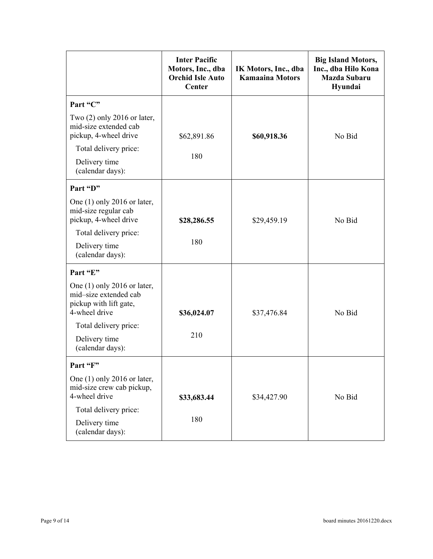|                                                                                                   | <b>Inter Pacific</b><br>Motors, Inc., dba<br><b>Orchid Isle Auto</b><br><b>Center</b> | IK Motors, Inc., dba<br><b>Kamaaina Motors</b> | <b>Big Island Motors,</b><br>Inc., dba Hilo Kona<br><b>Mazda Subaru</b><br>Hyundai |
|---------------------------------------------------------------------------------------------------|---------------------------------------------------------------------------------------|------------------------------------------------|------------------------------------------------------------------------------------|
| Part "C"                                                                                          |                                                                                       |                                                |                                                                                    |
| Two $(2)$ only 2016 or later,<br>mid-size extended cab<br>pickup, 4-wheel drive                   | \$62,891.86                                                                           | \$60,918.36                                    | No Bid                                                                             |
| Total delivery price:<br>Delivery time<br>(calendar days):                                        | 180                                                                                   |                                                |                                                                                    |
| Part "D"                                                                                          |                                                                                       |                                                |                                                                                    |
| One $(1)$ only 2016 or later,<br>mid-size regular cab<br>pickup, 4-wheel drive                    | \$28,286.55                                                                           | \$29,459.19                                    | No Bid                                                                             |
| Total delivery price:                                                                             |                                                                                       |                                                |                                                                                    |
| Delivery time<br>(calendar days):                                                                 | 180                                                                                   |                                                |                                                                                    |
| Part "E"                                                                                          |                                                                                       |                                                |                                                                                    |
| One $(1)$ only 2016 or later,<br>mid-size extended cab<br>pickup with lift gate,<br>4-wheel drive | \$36,024.07                                                                           | \$37,476.84                                    | No Bid                                                                             |
| Total delivery price:                                                                             |                                                                                       |                                                |                                                                                    |
| Delivery time<br>(calendar days):                                                                 | 210                                                                                   |                                                |                                                                                    |
| Part "F"                                                                                          |                                                                                       |                                                |                                                                                    |
| One $(1)$ only 2016 or later,<br>mid-size crew cab pickup,<br>4-wheel drive                       | \$33,683.44                                                                           | \$34,427.90                                    | No Bid                                                                             |
| Total delivery price:                                                                             |                                                                                       |                                                |                                                                                    |
| Delivery time<br>(calendar days):                                                                 | 180                                                                                   |                                                |                                                                                    |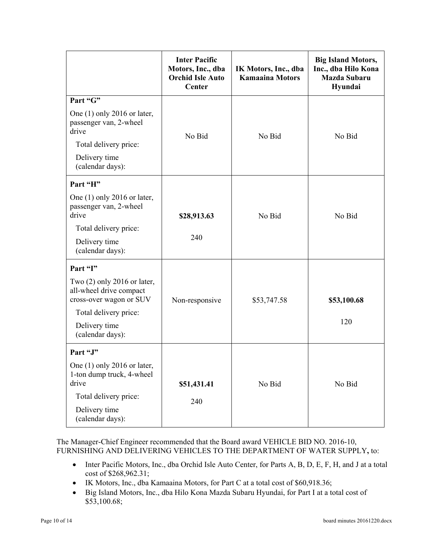|                                                                                           | <b>Inter Pacific</b><br>Motors, Inc., dba<br><b>Orchid Isle Auto</b><br><b>Center</b> | IK Motors, Inc., dba<br><b>Kamaaina Motors</b> | <b>Big Island Motors,</b><br>Inc., dba Hilo Kona<br><b>Mazda Subaru</b><br>Hyundai |
|-------------------------------------------------------------------------------------------|---------------------------------------------------------------------------------------|------------------------------------------------|------------------------------------------------------------------------------------|
| Part "G"                                                                                  |                                                                                       |                                                |                                                                                    |
| One $(1)$ only 2016 or later,<br>passenger van, 2-wheel<br>drive<br>Total delivery price: | No Bid                                                                                | No Bid                                         | No Bid                                                                             |
| Delivery time<br>(calendar days):                                                         |                                                                                       |                                                |                                                                                    |
| Part "H"                                                                                  |                                                                                       |                                                |                                                                                    |
| One $(1)$ only 2016 or later,<br>passenger van, 2-wheel<br>drive                          | \$28,913.63                                                                           | No Bid                                         | No Bid                                                                             |
| Total delivery price:                                                                     |                                                                                       |                                                |                                                                                    |
| Delivery time<br>(calendar days):                                                         | 240                                                                                   |                                                |                                                                                    |
| Part "I"                                                                                  |                                                                                       |                                                |                                                                                    |
| Two $(2)$ only 2016 or later,<br>all-wheel drive compact<br>cross-over wagon or SUV       | Non-responsive                                                                        | \$53,747.58                                    | \$53,100.68                                                                        |
| Total delivery price:                                                                     |                                                                                       |                                                |                                                                                    |
| Delivery time<br>(calendar days):                                                         |                                                                                       |                                                | 120                                                                                |
| Part "J"                                                                                  |                                                                                       |                                                |                                                                                    |
| One $(1)$ only 2016 or later,<br>1-ton dump truck, 4-wheel<br>drive                       | \$51,431.41                                                                           | No Bid                                         | No Bid                                                                             |
| Total delivery price:                                                                     | 240                                                                                   |                                                |                                                                                    |
| Delivery time<br>(calendar days):                                                         |                                                                                       |                                                |                                                                                    |

The Manager-Chief Engineer recommended that the Board award VEHICLE BID NO. 2016-10, FURNISHING AND DELIVERING VEHICLES TO THE DEPARTMENT OF WATER SUPPLY**,** to:

- Inter Pacific Motors, Inc., dba Orchid Isle Auto Center, for Parts A, B, D, E, F, H, and J at a total cost of \$268,962.31;
- IK Motors, Inc., dba Kamaaina Motors, for Part C at a total cost of \$60,918.36;
- Big Island Motors, Inc., dba Hilo Kona Mazda Subaru Hyundai, for Part I at a total cost of \$53,100.68;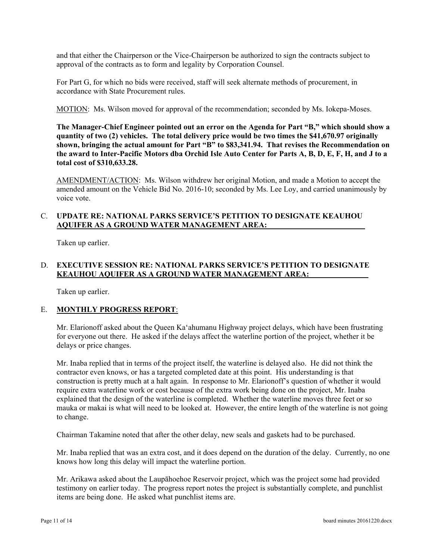and that either the Chairperson or the Vice-Chairperson be authorized to sign the contracts subject to approval of the contracts as to form and legality by Corporation Counsel.

For Part G, for which no bids were received, staff will seek alternate methods of procurement, in accordance with State Procurement rules.

MOTION: Ms. Wilson moved for approval of the recommendation; seconded by Ms. Iokepa-Moses.

**The Manager-Chief Engineer pointed out an error on the Agenda for Part "B," which should show a quantity of two (2) vehicles. The total delivery price would be two times the \$41,670.97 originally**  shown, bringing the actual amount for Part "B" to \$83,341.94. That revises the Recommendation on **the award to Inter-Pacific Motors dba Orchid Isle Auto Center for Parts A, B, D, E, F, H, and J to a total cost of \$310,633.28.** 

AMENDMENT/ACTION: Ms. Wilson withdrew her original Motion, and made a Motion to accept the amended amount on the Vehicle Bid No. 2016-10; seconded by Ms. Lee Loy, and carried unanimously by voice vote.

## C. **UPDATE RE: NATIONAL PARKS SERVICE'S PETITION TO DESIGNATE KEAUHOU AQUIFER AS A GROUND WATER MANAGEMENT AREA:**

Taken up earlier.

## D. **EXECUTIVE SESSION RE: NATIONAL PARKS SERVICE'S PETITION TO DESIGNATE KEAUHOU AQUIFER AS A GROUND WATER MANAGEMENT AREA:**

Taken up earlier.

## E. **MONTHLY PROGRESS REPORT**:

Mr. Elarionoff asked about the Queen Ka'ahumanu Highway project delays, which have been frustrating for everyone out there. He asked if the delays affect the waterline portion of the project, whether it be delays or price changes.

Mr. Inaba replied that in terms of the project itself, the waterline is delayed also. He did not think the contractor even knows, or has a targeted completed date at this point. His understanding is that construction is pretty much at a halt again. In response to Mr. Elarionoff's question of whether it would require extra waterline work or cost because of the extra work being done on the project, Mr. Inaba explained that the design of the waterline is completed. Whether the waterline moves three feet or so mauka or makai is what will need to be looked at. However, the entire length of the waterline is not going to change.

Chairman Takamine noted that after the other delay, new seals and gaskets had to be purchased.

Mr. Inaba replied that was an extra cost, and it does depend on the duration of the delay. Currently, no one knows how long this delay will impact the waterline portion.

Mr. Arikawa asked about the Laupāhoehoe Reservoir project, which was the project some had provided testimony on earlier today. The progress report notes the project is substantially complete, and punchlist items are being done. He asked what punchlist items are.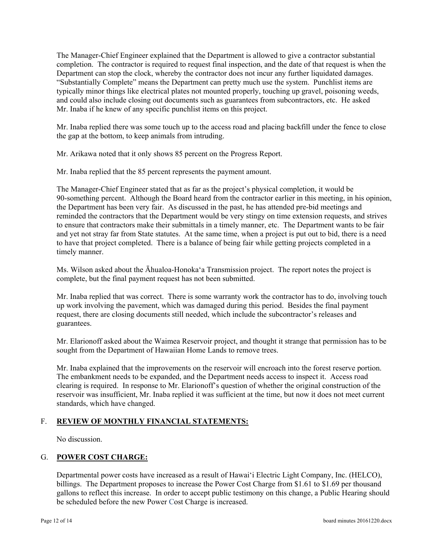The Manager-Chief Engineer explained that the Department is allowed to give a contractor substantial completion. The contractor is required to request final inspection, and the date of that request is when the Department can stop the clock, whereby the contractor does not incur any further liquidated damages. "Substantially Complete" means the Department can pretty much use the system. Punchlist items are typically minor things like electrical plates not mounted properly, touching up gravel, poisoning weeds, and could also include closing out documents such as guarantees from subcontractors, etc. He asked Mr. Inaba if he knew of any specific punchlist items on this project.

Mr. Inaba replied there was some touch up to the access road and placing backfill under the fence to close the gap at the bottom, to keep animals from intruding.

Mr. Arikawa noted that it only shows 85 percent on the Progress Report.

Mr. Inaba replied that the 85 percent represents the payment amount.

The Manager-Chief Engineer stated that as far as the project's physical completion, it would be 90-something percent. Although the Board heard from the contractor earlier in this meeting, in his opinion, the Department has been very fair. As discussed in the past, he has attended pre-bid meetings and reminded the contractors that the Department would be very stingy on time extension requests, and strives to ensure that contractors make their submittals in a timely manner, etc. The Department wants to be fair and yet not stray far from State statutes. At the same time, when a project is put out to bid, there is a need to have that project completed. There is a balance of being fair while getting projects completed in a timely manner.

Ms. Wilson asked about the Āhualoa-Honoka'a Transmission project. The report notes the project is complete, but the final payment request has not been submitted.

Mr. Inaba replied that was correct. There is some warranty work the contractor has to do, involving touch up work involving the pavement, which was damaged during this period. Besides the final payment request, there are closing documents still needed, which include the subcontractor's releases and guarantees.

Mr. Elarionoff asked about the Waimea Reservoir project, and thought it strange that permission has to be sought from the Department of Hawaiian Home Lands to remove trees.

Mr. Inaba explained that the improvements on the reservoir will encroach into the forest reserve portion. The embankment needs to be expanded, and the Department needs access to inspect it. Access road clearing is required. In response to Mr. Elarionoff's question of whether the original construction of the reservoir was insufficient, Mr. Inaba replied it was sufficient at the time, but now it does not meet current standards, which have changed.

# F. **REVIEW OF MONTHLY FINANCIAL STATEMENTS:**

No discussion.

## G. **POWER COST CHARGE:**

Departmental power costs have increased as a result of Hawai'i Electric Light Company, Inc. (HELCO), billings. The Department proposes to increase the Power Cost Charge from \$1.61 to \$1.69 per thousand gallons to reflect this increase. In order to accept public testimony on this change, a Public Hearing should be scheduled before the new Power Cost Charge is increased.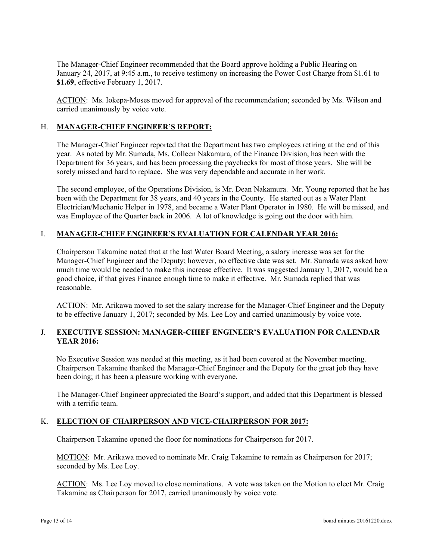The Manager-Chief Engineer recommended that the Board approve holding a Public Hearing on January 24, 2017, at 9:45 a.m., to receive testimony on increasing the Power Cost Charge from \$1.61 to **\$1.69**, effective February 1, 2017.

ACTION: Ms. Iokepa-Moses moved for approval of the recommendation; seconded by Ms. Wilson and carried unanimously by voice vote.

#### H. **MANAGER-CHIEF ENGINEER'S REPORT:**

The Manager-Chief Engineer reported that the Department has two employees retiring at the end of this year. As noted by Mr. Sumada, Ms. Colleen Nakamura, of the Finance Division, has been with the Department for 36 years, and has been processing the paychecks for most of those years. She will be sorely missed and hard to replace. She was very dependable and accurate in her work.

The second employee, of the Operations Division, is Mr. Dean Nakamura. Mr. Young reported that he has been with the Department for 38 years, and 40 years in the County. He started out as a Water Plant Electrician/Mechanic Helper in 1978, and became a Water Plant Operator in 1980. He will be missed, and was Employee of the Quarter back in 2006. A lot of knowledge is going out the door with him.

## **I. MANAGER-CHIEF ENGINEER'S EVALUATION FOR CALENDAR YEAR 2016:**

Chairperson Takamine noted that at the last Water Board Meeting, a salary increase was set for the Manager-Chief Engineer and the Deputy; however, no effective date was set. Mr. Sumada was asked how much time would be needed to make this increase effective. It was suggested January 1, 2017, would be a good choice, if that gives Finance enough time to make it effective. Mr. Sumada replied that was reasonable.

ACTION: Mr. Arikawa moved to set the salary increase for the Manager-Chief Engineer and the Deputy to be effective January 1, 2017; seconded by Ms. Lee Loy and carried unanimously by voice vote.

# **J. EXECUTIVE SESSION: MANAGER-CHIEF ENGINEER'S EVALUATION FOR CALENDAR YEAR 2016:**

No Executive Session was needed at this meeting, as it had been covered at the November meeting. Chairperson Takamine thanked the Manager-Chief Engineer and the Deputy for the great job they have been doing; it has been a pleasure working with everyone.

The Manager-Chief Engineer appreciated the Board's support, and added that this Department is blessed with a terrific team.

## K. **ELECTION OF CHAIRPERSON AND VICE-CHAIRPERSON FOR 2017:**

Chairperson Takamine opened the floor for nominations for Chairperson for 2017.

MOTION: Mr. Arikawa moved to nominate Mr. Craig Takamine to remain as Chairperson for 2017; seconded by Ms. Lee Loy.

ACTION: Ms. Lee Loy moved to close nominations. A vote was taken on the Motion to elect Mr. Craig Takamine as Chairperson for 2017, carried unanimously by voice vote.